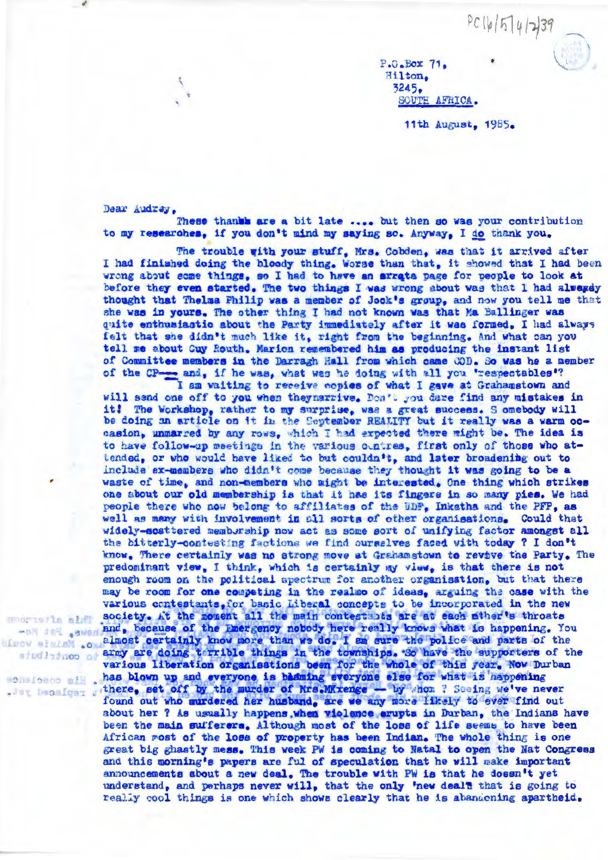$PC16|5|4|739$ 

P.O.Box 71. Hilton. 3245. SOUTH AFRICA.

11th August, 1985.

Dear Audrey.

Hoorieils ald

These thanks are a bit late .... but then so was your contribution to my researches, if you don't mind my saying so. Anyway, I do thank you.

The trouble with your stuff, Mrs. Cobden, was that it arrived after I had finished doing the bloody thing, Worse than that, it showed that I had been wrong about some things, so I had to have an arrata page for people to look at before they even started. The two things I was wrong about was that I had alwaysy thought that Thelma Philip was a member of Jock's group, and now you tell me that she was in yours. The other thing I had not known was that Ma Ballinger was quite enthusiastic about the Party immediately after it was formed. I had always felt that she didn't much like it, right from the beginning. And what can you tell me about Guy Routh. Marion remembered him as producing the instant list of Committee members in the Darragh Hall from which came COD. So was he a member of the CP-and, if he was, what was he doing with all you 'respectables'?<br>I am waiting to receive copies of what I gave at Grahamstown and

will send one off to you when they narrive. Don't you dare find any mistakes in it! The Workshop, rather to my surprise, was a great success. S omebody will be doing an article on it in the September REALITY but it really was a warm occasion, unmarred by any rows, which I had expected there might be. The idea is to have follow-up meetings in the various ountres, first only of those who attended, or who would have liked to but couldn't, and later broadening out to include ex-members who didn't come because they thought it was going to be a waste of time, and non-members who might be interested. One thing which strikes one about our old membership is that it has its fingers in so many pies. We had people there who now belong to affiliates of the UDF. Inkatha and the PFP, as well as many with involvement in all sorts of other organisations. Could that widely-scattered memburship now act as some sort of unifying factor amongst all the bitterly-contesting factions we find ourselves faced with today ? I don't know. There certainly was no strong move at Grahamstown to revive the Party. The predominant view, I think, which is certainly my view, is that there is not enough room on the political spectrum for another organisation, but that there may be room for one competing in the realmo of ideas, arguing the case with the various contestants, for basic Liberal concepts to be incorporated in the new society. At the moment all the main contestants are at each mther's throats -01 15% sweriand. because of the Emergency nobody here really knows what is happening. You since states almost certainly know more than we do. I am sure the police and parts of the supporters of the adudiatuos at various liberation organisations been for the whole of this year. Now Durban<br>has blown up and everyone is badming everyone else for what is happening<br>there, set off by the murder of Mrs.MKxenge - by Whom ? Seeing we've nev found out who murdered her husband, are we any more likely to ever find out about her ? As usually happens, when violence erupts in Durban, the Indians have been the main sufferers. Although most of the loss of life seems to have been African most of the loss of property has been Indian. The whole thing is one great big ghastly mess. This week PW is coming to Natal to open the Nat Congress and this morning's papers are ful of speculation that he will make important announcements about a new deal. The trouble with PW is that he doesn't yet understand, and perhaps never will, that the only 'new deal's that is going to really cool things is one which shows clearly that he is abandening apartheid.